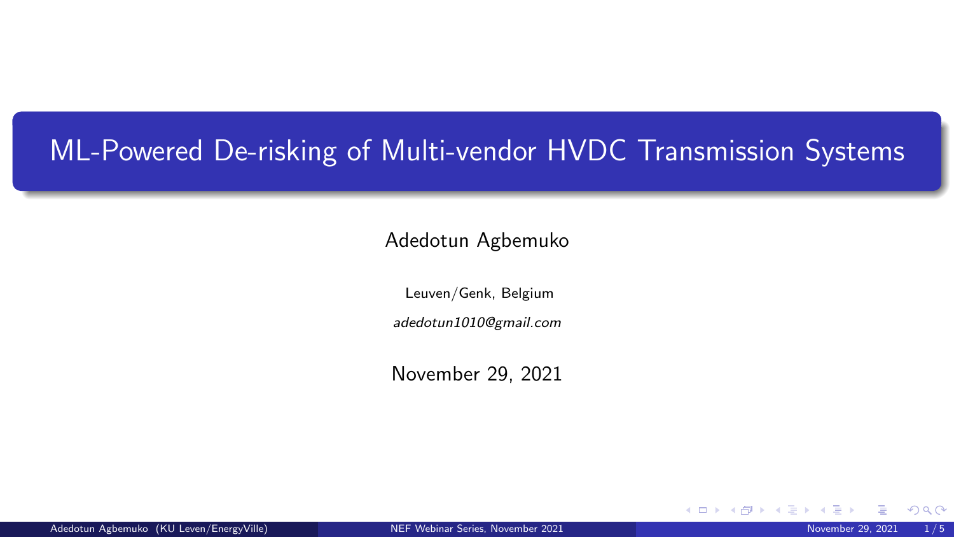# <span id="page-0-0"></span>ML-Powered De-risking of Multi-vendor HVDC Transmission Systems

#### Adedotun Agbemuko

Leuven/Genk, Belgium

adedotun1010@gmail.com

November 29, 2021

Adedotun Agbemuko (KU Leven/EnergyVille) [NEF Webinar Series, November 2021](#page-4-0) November 2001 November 29, 2021 1/5

4 0 F

つへへ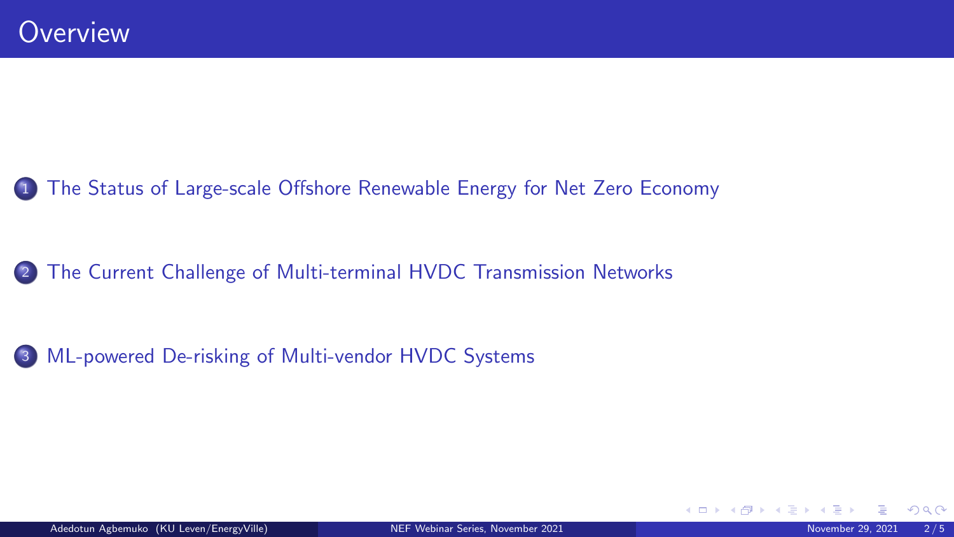## 1 [The Status of Large-scale Offshore Renewable Energy for Net Zero Economy](#page-2-0)

<sup>2</sup> [The Current Challenge of Multi-terminal HVDC Transmission Networks](#page-3-0)

<sup>3</sup> [ML-powered De-risking of Multi-vendor HVDC Systems](#page-4-0)

4 0 8

 $299$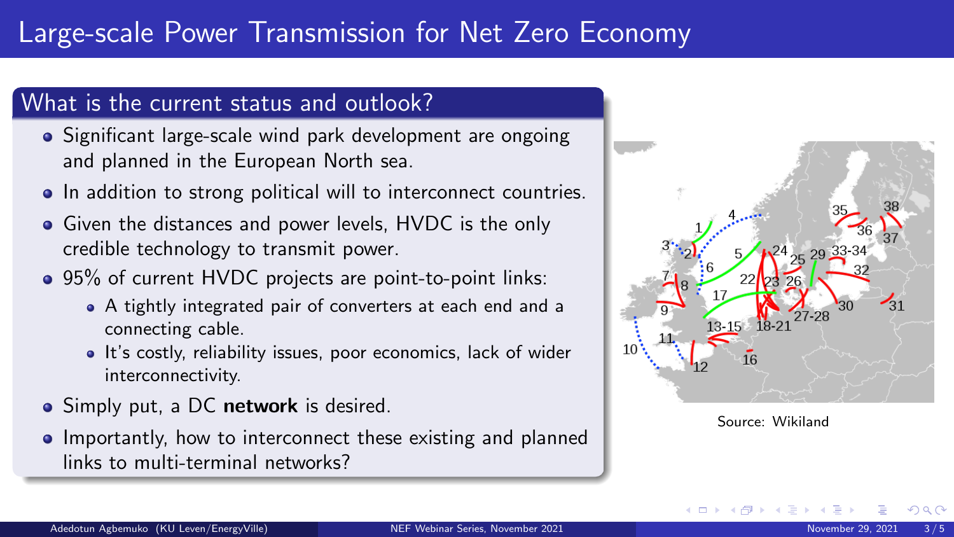# <span id="page-2-0"></span>Large-scale Power Transmission for Net Zero Economy

#### What is the current status and outlook?

- Significant large-scale wind park development are ongoing and planned in the European North sea.
- In addition to strong political will to interconnect countries.
- **Given the distances and power levels, HVDC is the only** credible technology to transmit power.
- 95% of current HVDC projects are point-to-point links:
	- A tightly integrated pair of converters at each end and a connecting cable.
	- It's costly, reliability issues, poor economics, lack of wider interconnectivity.
- Simply put, a DC network is desired.
- **•** Importantly, how to interconnect these existing and planned links to multi-terminal networks?



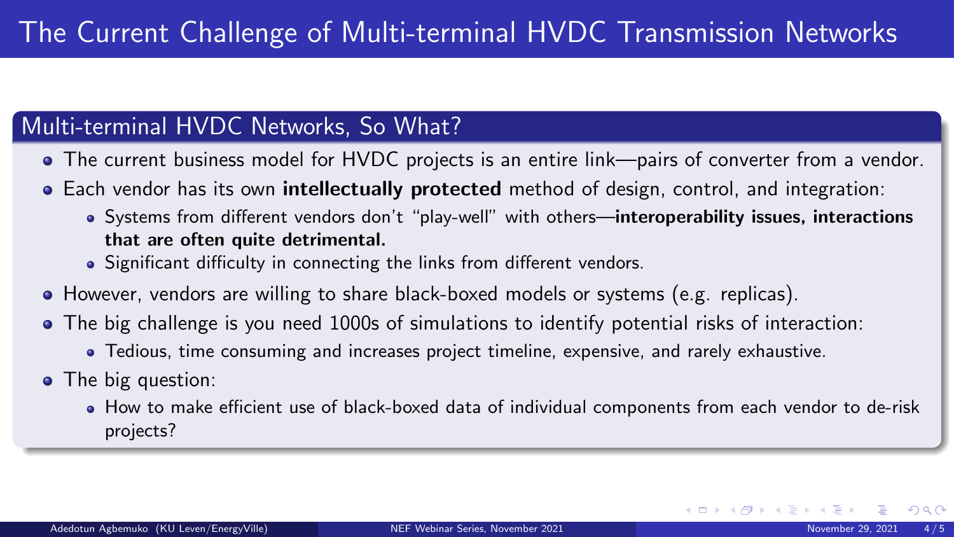### <span id="page-3-0"></span>Multi-terminal HVDC Networks, So What?

- The current business model for HVDC projects is an entire link—pairs of converter from a vendor.
- Each vendor has its own **intellectually protected** method of design, control, and integration:
	- Systems from different vendors don't "play-well" with others—interoperability issues, interactions that are often quite detrimental.
	- Significant difficulty in connecting the links from different vendors.
- However, vendors are willing to share black-boxed models or systems (e.g. replicas).
- The big challenge is you need 1000s of simulations to identify potential risks of interaction:
	- Tedious, time consuming and increases project timeline, expensive, and rarely exhaustive.
- The big question:
	- How to make efficient use of black-boxed data of individual components from each vendor to de-risk projects?

 $\Omega$